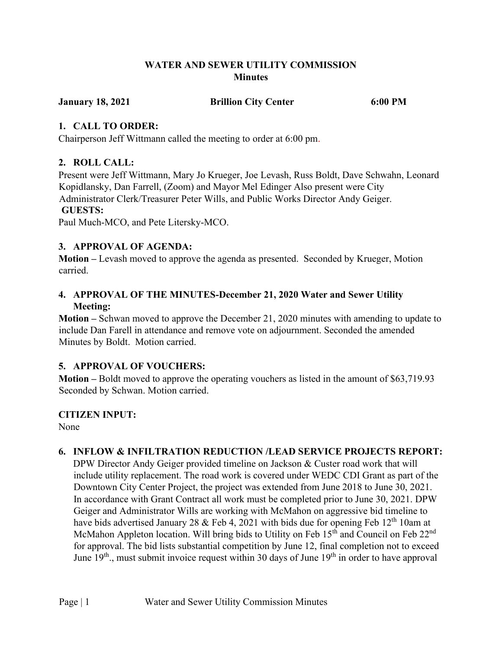## **WATER AND SEWER UTILITY COMMISSION Minutes**

**January 18, 2021 Brillion City Center 6:00 PM**

## **1. CALL TO ORDER:**

Chairperson Jeff Wittmann called the meeting to order at 6:00 pm.

# **2. ROLL CALL:**

Present were Jeff Wittmann, Mary Jo Krueger, Joe Levash, Russ Boldt, Dave Schwahn, Leonard Kopidlansky, Dan Farrell, (Zoom) and Mayor Mel Edinger Also present were City Administrator Clerk/Treasurer Peter Wills, and Public Works Director Andy Geiger. **GUESTS:** 

Paul Much-MCO, and Pete Litersky-MCO.

# **3. APPROVAL OF AGENDA:**

**Motion –** Levash moved to approve the agenda as presented. Seconded by Krueger, Motion carried.

## **4. APPROVAL OF THE MINUTES-December 21, 2020 Water and Sewer Utility Meeting:**

**Motion –** Schwan moved to approve the December 21, 2020 minutes with amending to update to include Dan Farell in attendance and remove vote on adjournment. Seconded the amended Minutes by Boldt. Motion carried.

# **5. APPROVAL OF VOUCHERS:**

**Motion –** Boldt moved to approve the operating vouchers as listed in the amount of \$63,719.93 Seconded by Schwan. Motion carried.

# **CITIZEN INPUT:**

None

# **6. INFLOW & INFILTRATION REDUCTION /LEAD SERVICE PROJECTS REPORT:**

DPW Director Andy Geiger provided timeline on Jackson & Custer road work that will include utility replacement. The road work is covered under WEDC CDI Grant as part of the Downtown City Center Project, the project was extended from June 2018 to June 30, 2021. In accordance with Grant Contract all work must be completed prior to June 30, 2021. DPW Geiger and Administrator Wills are working with McMahon on aggressive bid timeline to have bids advertised January 28 & Feb 4, 2021 with bids due for opening Feb  $12<sup>th</sup> 10$ am at McMahon Appleton location. Will bring bids to Utility on Feb  $15<sup>th</sup>$  and Council on Feb  $22<sup>nd</sup>$ for approval. The bid lists substantial competition by June 12, final completion not to exceed June  $19<sup>th</sup>$ , must submit invoice request within 30 days of June  $19<sup>th</sup>$  in order to have approval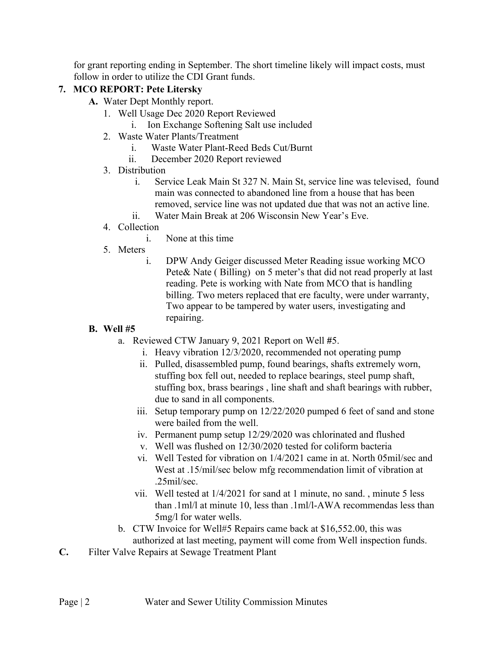for grant reporting ending in September. The short timeline likely will impact costs, must follow in order to utilize the CDI Grant funds.

# **7. MCO REPORT: Pete Litersky**

- **A.** Water Dept Monthly report.
	- 1. Well Usage Dec 2020 Report Reviewed
		- i. Ion Exchange Softening Salt use included
	- 2. Waste Water Plants/Treatment
		- i. Waste Water Plant-Reed Beds Cut/Burnt
		- ii. December 2020 Report reviewed
	- 3. Distribution
		- i. Service Leak Main St 327 N. Main St, service line was televised, found main was connected to abandoned line from a house that has been removed, service line was not updated due that was not an active line. ii. Water Main Break at 206 Wisconsin New Year's Eve.
	- 4. Collection
		- i. None at this time
	- 5. Meters
		- i. DPW Andy Geiger discussed Meter Reading issue working MCO Pete& Nate ( Billing) on 5 meter's that did not read properly at last reading. Pete is working with Nate from MCO that is handling billing. Two meters replaced that ere faculty, were under warranty, Two appear to be tampered by water users, investigating and repairing.

# **B. Well #5**

- a. Reviewed CTW January 9, 2021 Report on Well **#**5.
	- i. Heavy vibration 12/3/2020, recommended not operating pump
	- ii. Pulled, disassembled pump, found bearings, shafts extremely worn, stuffing box fell out, needed to replace bearings, steel pump shaft, stuffing box, brass bearings , line shaft and shaft bearings with rubber, due to sand in all components.
	- iii. Setup temporary pump on 12/22/2020 pumped 6 feet of sand and stone were bailed from the well.
	- iv. Permanent pump setup 12/29/2020 was chlorinated and flushed
	- v. Well was flushed on 12/30/2020 tested for coliform bacteria
	- vi. Well Tested for vibration on 1/4/2021 came in at. North 05mil/sec and West at .15/mil/sec below mfg recommendation limit of vibration at .25mil/sec.
	- vii. Well tested at 1/4/2021 for sand at 1 minute, no sand. , minute 5 less than .1ml/l at minute 10, less than .1ml/l-AWA recommendas less than 5mg/l for water wells.
- b. CTW Invoice for Well#5 Repairs came back at \$16,552.00, this was authorized at last meeting, payment will come from Well inspection funds.
- **C.** Filter Valve Repairs at Sewage Treatment Plant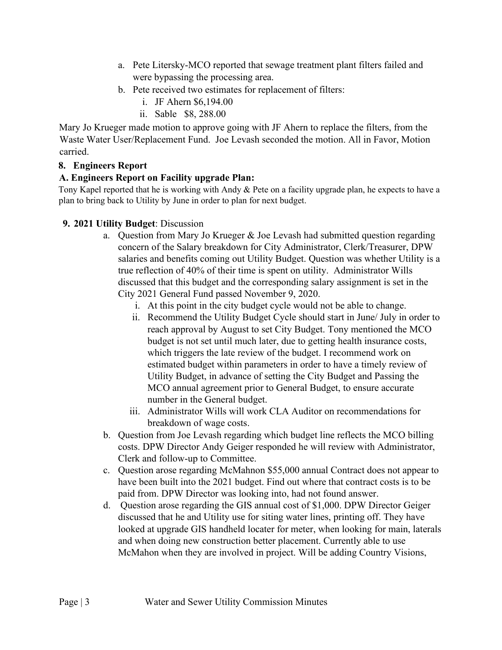- a. Pete Litersky-MCO reported that sewage treatment plant filters failed and were bypassing the processing area.
- b. Pete received two estimates for replacement of filters:
	- i. JF Ahern \$6,194.00
	- ii. Sable \$8, 288.00

Mary Jo Krueger made motion to approve going with JF Ahern to replace the filters, from the Waste Water User/Replacement Fund. Joe Levash seconded the motion. All in Favor, Motion carried.

#### **8. Engineers Report**

#### **A. Engineers Report on Facility upgrade Plan:**

Tony Kapel reported that he is working with Andy & Pete on a facility upgrade plan, he expects to have a plan to bring back to Utility by June in order to plan for next budget.

## **9. 2021 Utility Budget**: Discussion

- a. Question from Mary Jo Krueger & Joe Levash had submitted question regarding concern of the Salary breakdown for City Administrator, Clerk/Treasurer, DPW salaries and benefits coming out Utility Budget. Question was whether Utility is a true reflection of 40% of their time is spent on utility. Administrator Wills discussed that this budget and the corresponding salary assignment is set in the City 2021 General Fund passed November 9, 2020.
	- i. At this point in the city budget cycle would not be able to change.
	- ii. Recommend the Utility Budget Cycle should start in June/ July in order to reach approval by August to set City Budget. Tony mentioned the MCO budget is not set until much later, due to getting health insurance costs, which triggers the late review of the budget. I recommend work on estimated budget within parameters in order to have a timely review of Utility Budget, in advance of setting the City Budget and Passing the MCO annual agreement prior to General Budget, to ensure accurate number in the General budget.
	- iii. Administrator Wills will work CLA Auditor on recommendations for breakdown of wage costs.
- b. Question from Joe Levash regarding which budget line reflects the MCO billing costs. DPW Director Andy Geiger responded he will review with Administrator, Clerk and follow-up to Committee.
- c. Question arose regarding McMahnon \$55,000 annual Contract does not appear to have been built into the 2021 budget. Find out where that contract costs is to be paid from. DPW Director was looking into, had not found answer.
- d. Question arose regarding the GIS annual cost of \$1,000. DPW Director Geiger discussed that he and Utility use for siting water lines, printing off. They have looked at upgrade GIS handheld locater for meter, when looking for main, laterals and when doing new construction better placement. Currently able to use McMahon when they are involved in project. Will be adding Country Visions,